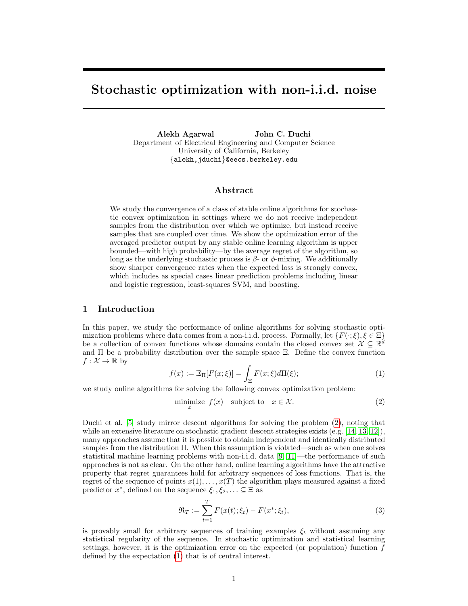# Stochastic optimization with non-i.i.d. noise

Alekh Agarwal John C. Duchi Department of Electrical Engineering and Computer Science University of California, Berkeley {alekh,jduchi}@eecs.berkeley.edu

#### Abstract

We study the convergence of a class of stable online algorithms for stochastic convex optimization in settings where we do not receive independent samples from the distribution over which we optimize, but instead receive samples that are coupled over time. We show the optimization error of the averaged predictor output by any stable online learning algorithm is upper bounded—with high probability—by the average regret of the algorithm, so long as the underlying stochastic process is  $\beta$ - or  $\phi$ -mixing. We additionally show sharper convergence rates when the expected loss is strongly convex, which includes as special cases linear prediction problems including linear and logistic regression, least-squares SVM, and boosting.

### 1 Introduction

In this paper, we study the performance of online algorithms for solving stochastic optimization problems where data comes from a non-i.i.d. process. Formally, let  $\{F(\cdot;\xi), \xi \in \Xi\}$ be a collection of convex functions whose domains contain the closed convex set  $\mathcal{X} \subseteq \mathbb{R}^d$ and  $\Pi$  be a probability distribution over the sample space  $\Xi$ . Define the convex function  $f: \mathcal{X} \to \mathbb{R}$  by

<span id="page-0-1"></span>
$$
f(x) := \mathbb{E}_{\Pi}[F(x;\xi)] = \int_{\Xi} F(x;\xi) d\Pi(\xi); \tag{1}
$$

we study online algorithms for solving the following convex optimization problem:

<span id="page-0-0"></span>
$$
\underset{x}{\text{minimize}}\ f(x)\quad\text{subject to}\quad x\in\mathcal{X}.\tag{2}
$$

Duchi et al. [\[5\]](#page-5-0) study mirror descent algorithms for solving the problem [\(2\)](#page-0-0), noting that while an extensive literature on stochastic gradient descent strategies exists (e.g. [\[14,](#page-5-1) [13,](#page-5-2) [12\]](#page-5-3)), many approaches assume that it is possible to obtain independent and identically distributed samples from the distribution Π. When this assumption is violated—such as when one solves statistical machine learning problems with non-i.i.d. data [\[9,](#page-5-4) [11\]](#page-5-5)—the performance of such approaches is not as clear. On the other hand, online learning algorithms have the attractive property that regret guarantees hold for arbitrary sequences of loss functions. That is, the regret of the sequence of points  $x(1), \ldots, x(T)$  the algorithm plays measured against a fixed predictor  $x^*$ , defined on the sequence  $\xi_1, \xi_2, \ldots \subseteq \Xi$  as

$$
\mathfrak{R}_T := \sum_{t=1}^T F(x(t); \xi_t) - F(x^*; \xi_t), \tag{3}
$$

is provably small for arbitrary sequences of training examples  $\xi_t$  without assuming any statistical regularity of the sequence. In stochastic optimization and statistical learning settings, however, it is the optimization error on the expected (or population) function  $f$ defined by the expectation [\(1\)](#page-0-1) that is of central interest.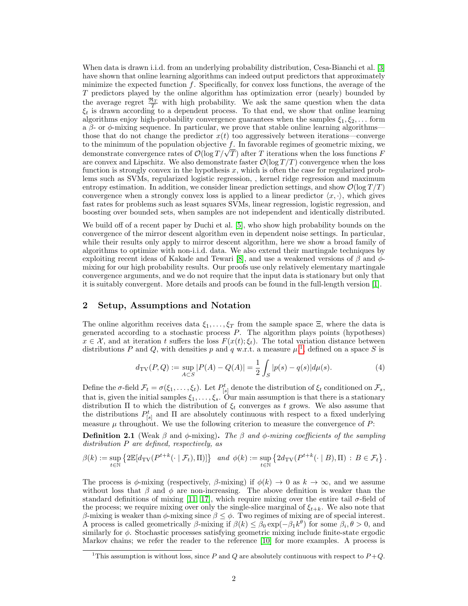When data is drawn i.i.d. from an underlying probability distribution, Cesa-Bianchi et al. [\[3\]](#page-5-6) have shown that online learning algorithms can indeed output predictors that approximately minimize the expected function f. Specifically, for convex loss functions, the average of the T predictors played by the online algorithm has optimization error (nearly) bounded by the average regret  $\frac{\Re T}{T}$  with high probability. We ask the same question when the data  $\xi_t$  is drawn according to a dependent process. To that end, we show that online learning algorithms enjoy high-probability convergence guarantees when the samples  $\xi_1, \xi_2, \ldots$  form a  $\beta$ - or  $\phi$ -mixing sequence. In particular, we prove that stable online learning algorithms– those that do not change the predictor  $x(t)$  too aggressively between iterations—converge to the minimum of the population objective  $f$ . In favorable regimes of geometric mixing, we to the minimum of the population objective  $f$ . In favorable regimes of geometric mixing, we<br>demonstrate convergence rates of  $\mathcal{O}(\log T/\sqrt{T})$  after T iterations when the loss functions F are convex and Lipschitz. We also demonstrate faster  $\mathcal{O}(\log T/T)$  convergence when the loss function is strongly convex in the hypothesis  $x$ , which is often the case for regularized problems such as SVMs, regularized logistic regression, , kernel ridge regression and maximum entropy estimation. In addition, we consider linear prediction settings, and show  $\mathcal{O}(\log T/T)$ convergence when a strongly convex loss is applied to a linear predictor  $\langle x, \cdot \rangle$ , which gives fast rates for problems such as least squares SVMs, linear regression, logistic regression, and boosting over bounded sets, when samples are not independent and identically distributed.

We build off of a recent paper by Duchi et al. [\[5\]](#page-5-0), who show high probability bounds on the convergence of the mirror descent algorithm even in dependent noise settings. In particular, while their results only apply to mirror descent algorithm, here we show a broad family of algorithms to optimize with non-i.i.d. data. We also extend their martingale techniques by exploiting recent ideas of Kakade and Tewari [\[8\]](#page-5-7), and use a weakened versions of  $\beta$  and  $\phi$ mixing for our high probability results. Our proofs use only relatively elementary martingale convergence arguments, and we do not require that the input data is stationary but only that it is suitably convergent. More details and proofs can be found in the full-length version [\[1\]](#page-5-8).

## <span id="page-1-1"></span>2 Setup, Assumptions and Notation

The online algorithm receives data  $\xi_1, \ldots, \xi_T$  from the sample space  $\Xi$ , where the data is generated according to a stochastic process  $P$ . The algorithm plays points (hypotheses)  $x \in \mathcal{X}$ , and at iteration t suffers the loss  $F(x(t); \xi_t)$ . The total variation distance between distributions P and Q, with densities p and q w.r.t. a measure  $\mu$ ,<sup>[1](#page-1-0)</sup>, defined on a space S is

$$
d_{\text{TV}}(P,Q) := \sup_{A \subset S} |P(A) - Q(A)| = \frac{1}{2} \int_S |p(s) - q(s)| d\mu(s). \tag{4}
$$

Define the  $\sigma$ -field  $\mathcal{F}_t = \sigma(\xi_1, \ldots, \xi_t)$ . Let  $P^t_{[s]}$  denote the distribution of  $\xi_t$  conditioned on  $\mathcal{F}_s$ , that is, given the initial samples  $\xi_1, \ldots, \xi_s$ . Our main assumption is that there is a stationary distribution  $\Pi$  to which the distribution of  $\xi_t$  converges as t grows. We also assume that the distributions  $P_{[s]}^t$  and  $\Pi$  are absolutely continuous with respect to a fixed underlying measure  $\mu$  throughout. We use the following criterion to measure the convergence of  $P$ :

**Definition 2.1** (Weak  $\beta$  and  $\phi$ -mixing). The  $\beta$  and  $\phi$ -mixing coefficients of the sampling distribution P are defined, respectively, as

$$
\beta(k) := \sup_{t \in \mathbb{N}} \left\{ 2\mathbb{E}[d_{\mathrm{TV}}(P^{t+k}(\cdot \mid \mathcal{F}_t), \Pi)] \right\} \text{ and } \phi(k) := \sup_{t \in \mathbb{N}} \left\{ 2d_{\mathrm{TV}}(P^{t+k}(\cdot \mid B), \Pi) : B \in \mathcal{F}_t \right\}.
$$

The process is  $\phi$ -mixing (respectively,  $\beta$ -mixing) if  $\phi(k) \to 0$  as  $k \to \infty$ , and we assume without loss that  $\beta$  and  $\phi$  are non-increasing. The above definition is weaker than the standard definitions of mixing [\[11,](#page-5-5) [17\]](#page-5-9), which require mixing over the entire tail  $\sigma$ -field of the process; we require mixing over only the single-slice marginal of  $\xi_{t+k}$ . We also note that β-mixing is weaker than  $\phi$ -mixing since  $\beta \leq \phi$ . Two regimes of mixing are of special interest. A process is called geometrically  $\beta$ -mixing if  $\beta(k) \leq \tilde{\beta}_0 \exp(-\beta_1 k^{\theta})$  for some  $\beta_i, \theta > 0$ , and similarly for  $\phi$ . Stochastic processes satisfying geometric mixing include finite-state ergodic Markov chains; we refer the reader to the reference [\[10\]](#page-5-10) for more examples. A process is

<span id="page-1-0"></span><sup>&</sup>lt;sup>1</sup>This assumption is without loss, since P and Q are absolutely continuous with respect to  $P+Q$ .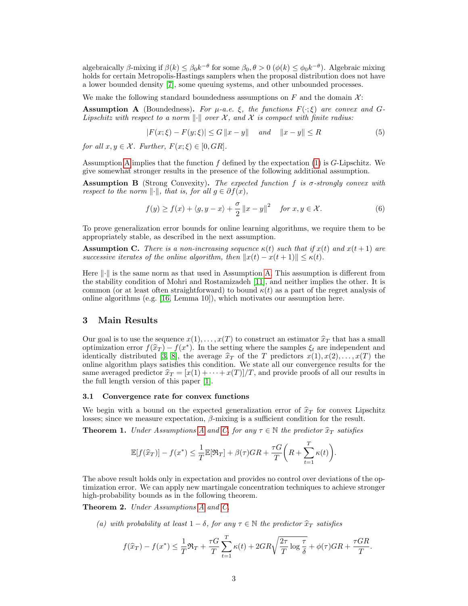algebraically  $\beta$ -mixing if  $\beta(k) \leq \beta_0 k^{-\theta}$  for some  $\beta_0, \theta > 0$   $(\phi(k) \leq \phi_0 k^{-\theta})$ . Algebraic mixing holds for certain Metropolis-Hastings samplers when the proposal distribution does not have a lower bounded density [\[7\]](#page-5-11), some queuing systems, and other unbounded processes.

We make the following standard boundedness assumptions on  $F$  and the domain  $\mathcal{X}$ :

<span id="page-2-0"></span>Assumption A (Boundedness). For  $\mu$ -a.e.  $\xi$ , the functions  $F(\cdot;\xi)$  are convex and G-Lipschitz with respect to a norm  $\|\cdot\|$  over X, and X is compact with finite radius:

$$
|F(x;\xi) - F(y;\xi)| \le G \|x - y\| \quad and \quad \|x - y\| \le R \tag{5}
$$

for all  $x, y \in \mathcal{X}$ . Further,  $F(x;\xi) \in [0, GR]$ .

Assumption [A](#page-2-0) implies that the function  $f$  defined by the expectation  $(1)$  is  $G$ -Lipschitz. We give somewhat stronger results in the presence of the following additional assumption.

**Assumption B** (Strong Convexity). The expected function f is  $\sigma$ -strongly convex with respect to the norm  $\|\cdot\|$ , that is, for all  $q \in \partial f(x)$ ,

$$
f(y) \ge f(x) + \langle g, y - x \rangle + \frac{\sigma}{2} ||x - y||^2 \quad \text{for } x, y \in \mathcal{X}.
$$
 (6)

To prove generalization error bounds for online learning algorithms, we require them to be appropriately stable, as described in the next assumption.

<span id="page-2-1"></span>**Assumption C.** There is a non-increasing sequence  $\kappa(t)$  such that if  $x(t)$  and  $x(t+1)$  are successive iterates of the online algorithm, then  $||x(t) - x(t + 1)|| \leq \kappa(t)$ .

Here  $\|\cdot\|$  is the same norm as that used in Assumption [A.](#page-2-0) This assumption is different from the stability condition of Mohri and Rostamizadeh [\[11\]](#page-5-5), and neither implies the other. It is common (or at least often straightforward) to bound  $\kappa(t)$  as a part of the regret analysis of online algorithms (e.g. [\[16,](#page-5-12) Lemma 10]), which motivates our assumption here.

#### 3 Main Results

Our goal is to use the sequence  $x(1), \ldots, x(T)$  to construct an estimator  $\hat{x}_T$  that has a small optimization error  $f(\hat{x}_T) - f(x^*)$ . In the setting where the samples  $\xi_t$  are independent and<br>identically distributed [3, 8], the average  $\hat{x}_T$  of the T predictors  $r(1)$ ,  $r(2)$ ,  $r(T)$  the identically distributed [\[3,](#page-5-6) [8\]](#page-5-7), the average  $\hat{x}_T$  of the T predictors  $x(1), x(2), \ldots, x(T)$  the online algorithm plays satisfies this condition. We state all our convergence results for the same averaged predictor  $\hat{x}_T = [x(1) + \cdots + x(T)]/T$ , and provide proofs of all our results in the full length version of this paper [\[1\]](#page-5-8).

#### 3.1 Convergence rate for convex functions

We begin with a bound on the expected generalization error of  $\hat{x}_T$  for convex Lipschitz losses; since we measure expectation,  $\beta$ -mixing is a sufficient condition for the result.

<span id="page-2-3"></span>**Theorem 1.** Under [A](#page-2-0)ssumptions A and [C,](#page-2-1) for any  $\tau \in \mathbb{N}$  the predictor  $\hat{x}_T$  satisfies

$$
\mathbb{E}[f(\widehat{x}_T)] - f(x^*) \leq \frac{1}{T}\mathbb{E}[\Re_T] + \beta(\tau)GR + \frac{\tau G}{T}\bigg(R + \sum_{t=1}^T \kappa(t)\bigg).
$$

The above result holds only in expectation and provides no control over deviations of the optimization error. We can apply new martingale concentration techniques to achieve stronger high-probability bounds as in the following theorem.

<span id="page-2-2"></span>Theorem 2. Under [A](#page-2-0)ssumptions A and [C,](#page-2-1)

(a) with probability at least  $1 - \delta$ , for any  $\tau \in \mathbb{N}$  the predictor  $\hat{x}_T$  satisfies

$$
f(\widehat{x}_T) - f(x^*) \le \frac{1}{T} \Re_T + \frac{\tau G}{T} \sum_{t=1}^T \kappa(t) + 2GR \sqrt{\frac{2\tau}{T} \log \frac{\tau}{\delta}} + \phi(\tau)GR + \frac{\tau GR}{T}.
$$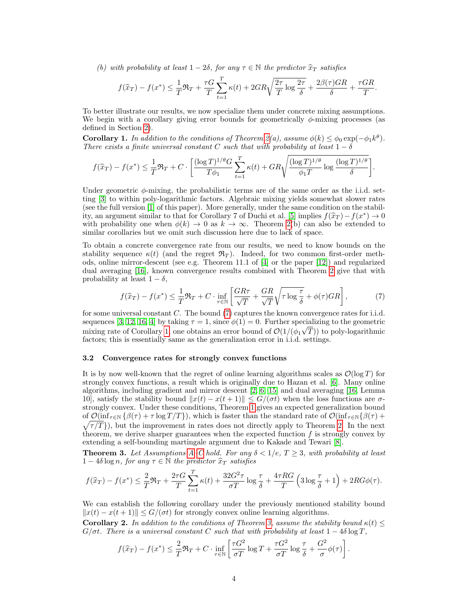(b) with probability at least  $1 - 2\delta$ , for any  $\tau \in \mathbb{N}$  the predictor  $\hat{x}_T$  satisfies

$$
f(\widehat{x}_T) - f(x^*) \le \frac{1}{T} \Re_T + \frac{\tau G}{T} \sum_{t=1}^T \kappa(t) + 2GR \sqrt{\frac{2\tau}{T} \log \frac{2\tau}{\delta}} + \frac{2\beta(\tau)GR}{\delta} + \frac{\tau GR}{T}.
$$

To better illustrate our results, we now specialize them under concrete mixing assumptions. We begin with a corollary giving error bounds for geometrically  $\phi$ -mixing processes (as defined in Section [2\)](#page-1-1).

<span id="page-3-1"></span>**Corollary 1.** In addition to the conditions of Theorem [2\(](#page-2-2)a), assume  $\phi(k) \leq \phi_0 \exp(-\phi_1 k^{\theta})$ . There exists a finite universal constant C such that with probability at least  $1 - \delta$ 

$$
f(\widehat{x}_T) - f(x^*) \le \frac{1}{T} \Re_T + C \cdot \left[ \frac{(\log T)^{1/\theta} G}{T\phi_1} \sum_{t=1}^T \kappa(t) + GR \sqrt{\frac{(\log T)^{1/\theta}}{\phi_1 T} \log \frac{(\log T)^{1/\theta}}{\delta}} \right].
$$

Under geometric  $\phi$ -mixing, the probabilistic terms are of the same order as the i.i.d. setting [\[3\]](#page-5-6) to within poly-logarithmic factors. Algebraic mixing yields somewhat slower rates (see the full version [\[1\]](#page-5-8) of this paper). More generally, under the same condition on the stabil-ity, an argument similar to that for Corollary 7 of Duchi et al. [\[5\]](#page-5-0) implies  $f(\hat{x}_T) - f(x^*) \to 0$ <br>with probability one when  $\phi(k) \to 0$  as  $k \to \infty$ . Theorem  $2(b)$  can also be extended to with probability one when  $\phi(k) \to 0$  as  $k \to \infty$ . Theorem [2\(](#page-2-2)b) can also be extended to similar corollaries but we omit such discussion here due to lack of space.

To obtain a concrete convergence rate from our results, we need to know bounds on the stability sequence  $\kappa(t)$  (and the regret  $\mathfrak{R}_T$ ). Indeed, for two common first-order methods, online mirror-descent (see e.g. Theorem 11.1 of [\[4\]](#page-5-13) or the paper [\[12\]](#page-5-3)) and regularized dual averaging [\[16\]](#page-5-12), known convergence results combined with Theorem [2](#page-2-2) give that with probability at least  $1 - \delta$ ,

<span id="page-3-0"></span>
$$
f(\widehat{x}_T) - f(x^*) \le \frac{1}{T} \Re_T + C \cdot \inf_{\tau \in \mathbb{N}} \left[ \frac{GR\tau}{\sqrt{T}} + \frac{GR}{\sqrt{T}} \sqrt{\tau \log \frac{\tau}{\delta}} + \phi(\tau) GR \right],\tag{7}
$$

for some universal constant  $C$ . The bound  $(7)$  captures the known convergence rates for i.i.d. sequences [\[3,](#page-5-6) [12,](#page-5-3) [16,](#page-5-12) [4\]](#page-5-13) by taking  $\tau = 1$ , since  $\phi(1) = 0$ . Further specializing to the geometric mixing rate of Corollary [1,](#page-3-1) one obtains an error bound of  $\mathcal{O}(1/(\phi_1\sqrt{T}))$  to poly-logarithmic factors; this is essentially same as the generalization error in i.i.d. settings.

#### 3.2 Convergence rates for strongly convex functions

It is by now well-known that the regret of online learning algorithms scales as  $\mathcal{O}(\log T)$  for strongly convex functions, a result which is originally due to Hazan et al. [\[6\]](#page-5-14). Many online algorithms, including gradient and mirror descent [\[2,](#page-5-15) [6,](#page-5-14) [15\]](#page-5-16) and dual averaging [\[16,](#page-5-12) Lemma 10], satisfy the stability bound  $||x(t) - x(t+1)|| \leq G/(\sigma t)$  when the loss functions are  $\sigma$ strongly convex. Under these conditions, Theorem [1](#page-2-3) gives an expected generalization bound of  $\mathcal{O}(\inf_{\tau \in \mathbb{N}} \{\beta(\tau) + \tau \log T/T\})$ , which is faster than the standard rate of  $\mathcal{O}(\inf_{\tau \in \mathbb{N}} \{\beta(\tau) +$  $\sqrt{\tau/T}$ ), but the improvement in rates does not directly apply to Theorem [2.](#page-2-2) In the next theorem, we derive sharper guarantees when the expected function  $f$  is strongly convex by extending a self-bounding martingale argument due to Kakade and Tewari [\[8\]](#page-5-7).

<span id="page-3-2"></span>**Theorem 3.** Let Assumptions [A–](#page-2-0)[C](#page-2-1) hold. For any  $\delta < 1/e$ ,  $T \geq 3$ , with probability at least  $1 - 4\delta \log n$ , for any  $\tau \in \mathbb{N}$  the predictor  $\widehat{x}_T$  satisfies

$$
f(\widehat{x}_T) - f(x^*) \le \frac{2}{T} \Re_T + \frac{2\tau G}{T} \sum_{t=1}^T \kappa(t) + \frac{32G^2 \tau}{\sigma T} \log \frac{\tau}{\delta} + \frac{4\tau RG}{T} \left( 3 \log \frac{\tau}{\delta} + 1 \right) + 2RG\phi(\tau).
$$

We can establish the following corollary under the previously mentioned stability bound  $||x(t) - x(t+1)|| \leq G/(\sigma t)$  for strongly convex online learning algorithms.

<span id="page-3-3"></span>**Corollary 2.** In addition to the conditions of Theorem [3,](#page-3-2) assume the stability bound  $\kappa(t)$  <  $G/\sigma t$ . There is a universal constant C such that with probability at least  $1-4\delta \log T$ .

$$
f(\widehat{x}_T) - f(x^*) \le \frac{2}{T} \Re_T + C \cdot \inf_{\tau \in \mathbb{N}} \left[ \frac{\tau G^2}{\sigma T} \log T + \frac{\tau G^2}{\sigma T} \log \frac{\tau}{\delta} + \frac{G^2}{\sigma} \phi(\tau) \right].
$$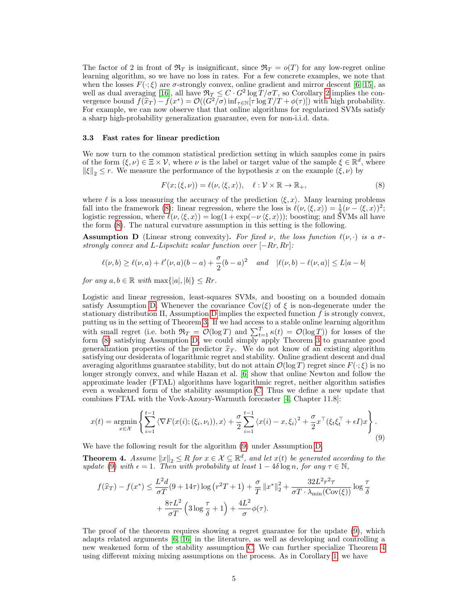The factor of 2 in front of  $\mathfrak{R}_T$  is insignificant, since  $\mathfrak{R}_T = o(T)$  for any low-regret online learning algorithm, so we have no loss in rates. For a few concrete examples, we note that when the losses  $F(\cdot;\xi)$  are  $\sigma$ -strongly convex, online gradient and mirror descent [\[6,](#page-5-14) [15\]](#page-5-16), as well as dual averaging [\[16\]](#page-5-12), all have  $\Re T \leq C \cdot G^2 \log T / \sigma T$ , so Corollary [2](#page-3-3) implies the convergence bound  $f(\hat{x}_T) - f(x^*) = \mathcal{O}((G^2/\sigma) \inf_{\tau \in \mathbb{N}} [\tau \log T/T + \phi(\tau)])$  with high probability.<br>For example, we can now observe that that online algorithms for regularized SVMs satisfy For example, we can now observe that that online algorithms for regularized SVMs satisfy a sharp high-probability generalization guarantee, even for non-i.i.d. data.

#### 3.3 Fast rates for linear prediction

We now turn to the common statistical prediction setting in which samples come in pairs of the form  $(\xi, \nu) \in \Xi \times \mathcal{V}$ , where  $\nu$  is the label or target value of the sample  $\xi \in \mathbb{R}^d$ , where  $\|\xi\|_2 \leq r$ . We measure the performance of the hypothesis x on the example  $(\xi, \nu)$  by

<span id="page-4-0"></span>
$$
F(x; (\xi, \nu)) = \ell(\nu, \langle \xi, x \rangle), \quad \ell : \mathcal{V} \times \mathbb{R} \to \mathbb{R}_+, \tag{8}
$$

where  $\ell$  is a loss measuring the accuracy of the prediction  $\langle \xi, x \rangle$ . Many learning problems fall into the framework [\(8\)](#page-4-0): linear regression, where the loss is  $\ell(\nu,\langle \xi, x \rangle) = \frac{1}{2}(\nu - \langle \xi, x \rangle)^2$ ; logistic regression, where  $\ell(\nu,\langle \xi, x \rangle) = \log(1 + \exp(-\nu \langle \xi, x \rangle))$ ; boosting; and SVMs all have the form [\(8\)](#page-4-0). The natural curvature assumption in this setting is the following.

<span id="page-4-1"></span>**Assumption D** (Linear strong convexity). For fixed  $\nu$ , the loss function  $\ell(\nu, \cdot)$  is a  $\sigma$ strongly convex and L-Lipschitz scalar function over  $[-Rr, Rr]$ :

$$
\ell(\nu, b) \ge \ell(\nu, a) + \ell'(\nu, a)(b - a) + \frac{\sigma}{2}(b - a)^2
$$
 and  $|\ell(\nu, b) - \ell(\nu, a)| \le L|a - b|$ 

for any  $a, b \in \mathbb{R}$  with  $\max\{|a|, |b|\} \leq Rr$ .

Logistic and linear regression, least-squares SVMs, and boosting on a bounded domain satisfy Assumption [D.](#page-4-1) Whenever the covariance  $Cov(\xi)$  of  $\xi$  is non-degenerate under the stationary distribution  $\Pi$ , Assumption [D](#page-4-1) implies the expected function f is strongly convex, putting us in the setting of Theorem [3.](#page-3-2) If we had access to a stable online learning algorithm with small regret (i.e. both  $\mathfrak{R}_T = \mathcal{O}(\log T)$  and  $\sum_{t=1}^T \kappa(t) = \mathcal{O}(\log T)$ ) for losses of the form [\(8\)](#page-4-0) satisfying Assumption [D,](#page-4-1) we could simply apply Theorem [3](#page-3-2) to guarantee good generalization properties of the predictor  $\hat{x}_T$ . We do not know of an existing algorithm satisfying our desiderata of logarithmic regret and stability. Online gradient descent and dual averaging algorithms guarantee stability, but do not attain  $\mathcal{O}(\log T)$  regret since  $F(\cdot;\xi)$  is no longer strongly convex, and while Hazan et al. [\[6\]](#page-5-14) show that online Newton and follow the approximate leader (FTAL) algorithms have logarithmic regret, neither algorithm satisfies even a weakened form of the stability assumption [C.](#page-2-1) Thus we define a new update that combines FTAL with the Vovk-Azoury-Warmuth forecaster [\[4,](#page-5-13) Chapter 11.8]:

<span id="page-4-2"></span>
$$
x(t) = \underset{x \in \mathcal{X}}{\operatorname{argmin}} \left\{ \sum_{i=1}^{t-1} \left\langle \nabla F(x(i); (\xi_i, \nu_i)), x \right\rangle + \frac{\sigma}{2} \sum_{i=1}^{t-1} \left\langle x(i) - x, \xi_i \right\rangle^2 + \frac{\sigma}{2} x^\top (\xi_t \xi_t^\top + \epsilon I) x \right\}.
$$
\n(9)

We have the following result for the algorithm [\(9\)](#page-4-2) under Assumption [D.](#page-4-1)

<span id="page-4-3"></span>**Theorem 4.** Assume  $||x||_2 \leq R$  for  $x \in \mathcal{X} \subseteq \mathbb{R}^d$ , and let  $x(t)$  be generated according to the update [\(9\)](#page-4-2) with  $\epsilon = 1$ . Then with probability at least  $1 - 4\delta \log n$ , for any  $\tau \in \mathbb{N}$ ,

$$
f(\widehat{x}_T) - f(x^*) \le \frac{L^2 d}{\sigma T} (9 + 14\tau) \log (r^2 T + 1) + \frac{\sigma}{T} ||x^*||_2^2 + \frac{32L^2 r^2 \tau}{\sigma T \cdot \lambda_{\min}(\text{Cov}(\xi))} \log \frac{\tau}{\delta}
$$

$$
+ \frac{8\tau L^2}{\sigma T} \left( 3 \log \frac{\tau}{\delta} + 1 \right) + \frac{4L^2}{\sigma} \phi(\tau).
$$

The proof of the theorem requires showing a regret guarantee for the update [\(9\)](#page-4-2), which adapts related arguments [\[6,](#page-5-14) [16\]](#page-5-12) in the literature, as well as developing and controlling a new weakened form of the stability assumption [C.](#page-2-1) We can further specialize Theorem [4](#page-4-3) using different mixing mixing assumptions on the process. As in Corollary [1,](#page-3-1) we have